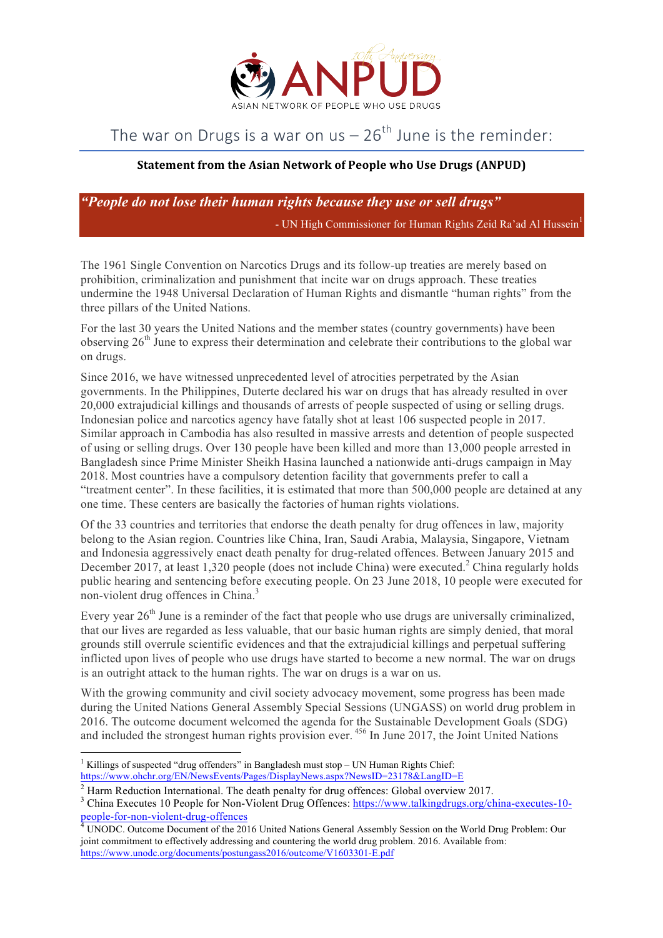

## The war on Drugs is a war on us  $-26$ <sup>th</sup> June is the reminder:

## **Statement from the Asian Network of People who Use Drugs (ANPUD)**

*"People do not lose their human rights because they use or sell drugs"*

- UN High Commissioner for Human Rights Zeid Ra'ad Al Hussein

The 1961 Single Convention on Narcotics Drugs and its follow-up treaties are merely based on prohibition, criminalization and punishment that incite war on drugs approach. These treaties undermine the 1948 Universal Declaration of Human Rights and dismantle "human rights" from the three pillars of the United Nations.

For the last 30 years the United Nations and the member states (country governments) have been observing  $26<sup>th</sup>$  June to express their determination and celebrate their contributions to the global war on drugs.

Since 2016, we have witnessed unprecedented level of atrocities perpetrated by the Asian governments. In the Philippines, Duterte declared his war on drugs that has already resulted in over 20,000 extrajudicial killings and thousands of arrests of people suspected of using or selling drugs. Indonesian police and narcotics agency have fatally shot at least 106 suspected people in 2017. Similar approach in Cambodia has also resulted in massive arrests and detention of people suspected of using or selling drugs. Over 130 people have been killed and more than 13,000 people arrested in Bangladesh since Prime Minister Sheikh Hasina launched a nationwide anti-drugs campaign in May 2018. Most countries have a compulsory detention facility that governments prefer to call a "treatment center". In these facilities, it is estimated that more than 500,000 people are detained at any one time. These centers are basically the factories of human rights violations.

Of the 33 countries and territories that endorse the death penalty for drug offences in law, majority belong to the Asian region. Countries like China, Iran, Saudi Arabia, Malaysia, Singapore, Vietnam and Indonesia aggressively enact death penalty for drug-related offences. Between January 2015 and December 2017, at least 1,320 people (does not include China) were executed.<sup>2</sup> China regularly holds public hearing and sentencing before executing people. On 23 June 2018, 10 people were executed for non-violent drug offences in China.<sup>3</sup>

Every year  $26<sup>th</sup>$  June is a reminder of the fact that people who use drugs are universally criminalized, that our lives are regarded as less valuable, that our basic human rights are simply denied, that moral grounds still overrule scientific evidences and that the extrajudicial killings and perpetual suffering inflicted upon lives of people who use drugs have started to become a new normal. The war on drugs is an outright attack to the human rights. The war on drugs is a war on us.

With the growing community and civil society advocacy movement, some progress has been made during the United Nations General Assembly Special Sessions (UNGASS) on world drug problem in 2016. The outcome document welcomed the agenda for the Sustainable Development Goals (SDG) and included the strongest human rights provision ever. <sup>456</sup> In June 2017, the Joint United Nations

 <sup>1</sup> Killings of suspected "drug offenders" in Bangladesh must stop – UN Human Rights Chief: https://www.ohchr.org/EN/NewsEvents/Pages/DisplayNews.aspx?NewsID=23178&LangID=E

<sup>&</sup>lt;sup>2</sup> Harm Reduction International. The death penalty for drug offences: Global overview 2017.<br><sup>3</sup> China Executes 10 People for Non-Violent Drug Offences: https://www.talkingdrugs.org/china-executes-10people-for-non-violent-drug-offences<br><sup>4</sup> UNODC. Outcome Document of the 2016 United Nations General Assembly Session on the World Drug Problem: Our

joint commitment to effectively addressing and countering the world drug problem. 2016. Available from: https://www.unodc.org/documents/postungass2016/outcome/V1603301-E.pdf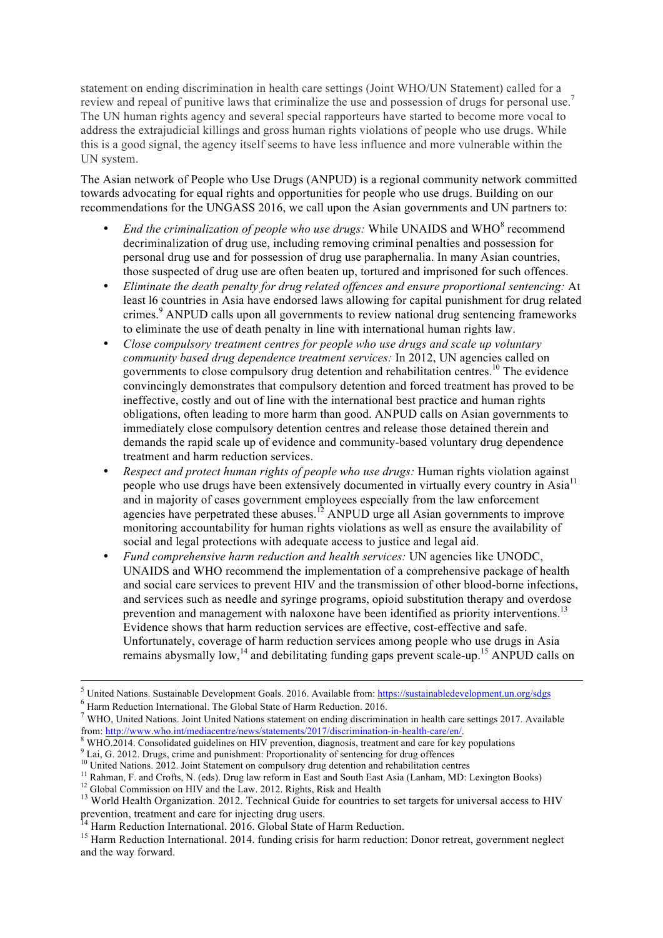statement on ending discrimination in health care settings (Joint WHO/UN Statement) called for a review and repeal of punitive laws that criminalize the use and possession of drugs for personal use.<sup>7</sup> The UN human rights agency and several special rapporteurs have started to become more vocal to address the extrajudicial killings and gross human rights violations of people who use drugs. While this is a good signal, the agency itself seems to have less influence and more vulnerable within the UN system.

The Asian network of People who Use Drugs (ANPUD) is a regional community network committed towards advocating for equal rights and opportunities for people who use drugs. Building on our recommendations for the UNGASS 2016, we call upon the Asian governments and UN partners to:

- *End the criminalization of people who use drugs:* While UNAIDS and WHO<sup>8</sup> recommend decriminalization of drug use, including removing criminal penalties and possession for personal drug use and for possession of drug use paraphernalia. In many Asian countries, those suspected of drug use are often beaten up, tortured and imprisoned for such offences.
- *Eliminate the death penalty for drug related offences and ensure proportional sentencing:* At least l6 countries in Asia have endorsed laws allowing for capital punishment for drug related crimes. <sup>9</sup> ANPUD calls upon all governments to review national drug sentencing frameworks to eliminate the use of death penalty in line with international human rights law.
- *Close compulsory treatment centres for people who use drugs and scale up voluntary community based drug dependence treatment services:* In 2012, UN agencies called on governments to close compulsory drug detention and rehabilitation centres. <sup>10</sup> The evidence convincingly demonstrates that compulsory detention and forced treatment has proved to be ineffective, costly and out of line with the international best practice and human rights obligations, often leading to more harm than good. ANPUD calls on Asian governments to immediately close compulsory detention centres and release those detained therein and demands the rapid scale up of evidence and community-based voluntary drug dependence treatment and harm reduction services.
- *Respect and protect human rights of people who use drugs:* Human rights violation against people who use drugs have been extensively documented in virtually every country in Asia<sup>11</sup> and in majority of cases government employees especially from the law enforcement agencies have perpetrated these abuses.<sup>12</sup> ANPUD urge all Asian governments to improve monitoring accountability for human rights violations as well as ensure the availability of social and legal protections with adequate access to justice and legal aid.
- *Fund comprehensive harm reduction and health services:* UN agencies like UNODC, UNAIDS and WHO recommend the implementation of a comprehensive package of health and social care services to prevent HIV and the transmission of other blood-borne infections, and services such as needle and syringe programs, opioid substitution therapy and overdose prevention and management with naloxone have been identified as priority interventions.<sup>13</sup> Evidence shows that harm reduction services are effective, cost-effective and safe. Unfortunately, coverage of harm reduction services among people who use drugs in Asia remains aby smally low, $^{14}$  and debilitating funding gaps prevent scale-up.<sup>15</sup> ANPUD calls on

 $<sup>5</sup>$  United Nations. Sustainable Development Goals. 2016. Available from: https://sustainabledevelopment.un.org/sdgs</sup>

<sup>6</sup> Harm Reduction International. The Global State of Harm Reduction. 2016.

<sup>&</sup>lt;sup>7</sup> WHO, United Nations. Joint United Nations statement on ending discrimination in health care settings 2017. Available from: http://www.who.int/mediacentre/news/statements/2017/discrimination-in-health-care/en/.

 $\degree$  WHO.2014. Consolidated guidelines on HIV prevention, diagnosis, treatment and care for key populations  $\degree$  Lai, G. 2012. Drugs, crime and punishment: Proportionality of sentencing for drug offences  $^{10}$  United Nat

<sup>&</sup>lt;sup>11</sup> Rahman, F. and Crofts, N. (eds). Drug law reform in East and South East Asia (Lanham, MD: Lexington Books)<br><sup>12</sup> Global Commission on HIV and the Law. 2012. Rights, Risk and Health<br><sup>13</sup> World Health Organization. 2012 prevention, treatment and care for injecting drug users.<br><sup>14</sup> Harm Reduction International. 2016. Global State of Harm Reduction.<br><sup>15</sup> Harm Reduction International. 2014. funding crisis for harm reduction: Donor retreat, g

and the way forward.